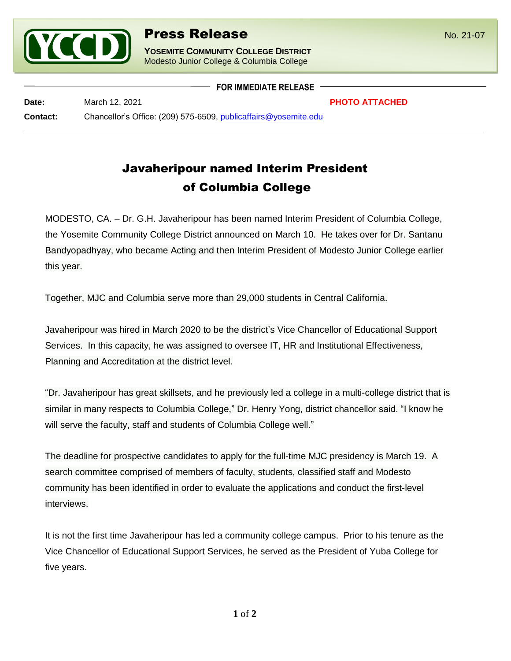

## **Press Release** No. 21-07

**YOSEMITE COMMUNITY COLLEGE DISTRICT** Modesto Junior College & Columbia College

**FOR IMMEDIATE RELEASE**

**Date:** March 12, 2021 **PHOTO ATTACHED**

l

**Contact:** Chancellor's Office: (209) 575-6509, [publicaffairs@yosemite.edu](mailto:publicaffairs@yosemite.edu)

## Javaheripour named Interim President of Columbia College

MODESTO, CA. – Dr. G.H. Javaheripour has been named Interim President of Columbia College, the Yosemite Community College District announced on March 10. He takes over for Dr. Santanu Bandyopadhyay, who became Acting and then Interim President of Modesto Junior College earlier this year.

Together, MJC and Columbia serve more than 29,000 students in Central California.

Javaheripour was hired in March 2020 to be the district's Vice Chancellor of Educational Support Services. In this capacity, he was assigned to oversee IT, HR and Institutional Effectiveness, Planning and Accreditation at the district level.

"Dr. Javaheripour has great skillsets, and he previously led a college in a multi-college district that is similar in many respects to Columbia College," Dr. Henry Yong, district chancellor said. "I know he will serve the faculty, staff and students of Columbia College well."

The deadline for prospective candidates to apply for the full-time MJC presidency is March 19. A search committee comprised of members of faculty, students, classified staff and Modesto community has been identified in order to evaluate the applications and conduct the first-level interviews.

It is not the first time Javaheripour has led a community college campus. Prior to his tenure as the Vice Chancellor of Educational Support Services, he served as the President of Yuba College for five years.